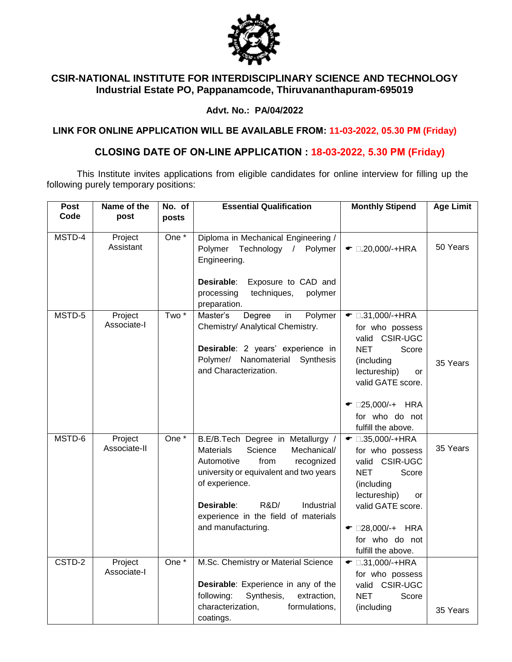

## **CSIR-NATIONAL INSTITUTE FOR INTERDISCIPLINARY SCIENCE AND TECHNOLOGY Industrial Estate PO, Pappanamcode, Thiruvananthapuram-695019**

### **Advt. No.: PA/04/2022**

**LINK FOR ONLINE APPLICATION WILL BE AVAILABLE FROM: 11-03-2022, 05.30 PM (Friday)**

# **CLOSING DATE OF ON-LINE APPLICATION : 18-03-2022, 5.30 PM (Friday)**

This Institute invites applications from eligible candidates for online interview for filling up the following purely temporary positions:

| Post<br>Code | Name of the<br>post     | No. of           | <b>Essential Qualification</b>                                                                                                                                                                                                                                                    | <b>Monthly Stipend</b>                                                                                                                                                                                            | <b>Age Limit</b> |
|--------------|-------------------------|------------------|-----------------------------------------------------------------------------------------------------------------------------------------------------------------------------------------------------------------------------------------------------------------------------------|-------------------------------------------------------------------------------------------------------------------------------------------------------------------------------------------------------------------|------------------|
|              |                         | posts            |                                                                                                                                                                                                                                                                                   |                                                                                                                                                                                                                   |                  |
| MSTD-4       | Project<br>Assistant    | One *            | Diploma in Mechanical Engineering /<br>Polymer<br>Technology<br>$\sqrt{2}$<br>Polymer<br>Engineering.<br>Desirable:<br>Exposure to CAD and<br>processing<br>techniques,<br>polymer<br>preparation.                                                                                | $\bullet$ 0.20,000/-+HRA                                                                                                                                                                                          | 50 Years         |
| MSTD-5       | Project<br>Associate-I  | Two <sup>*</sup> | Master's<br>Degree<br>Polymer<br>in<br>Chemistry/ Analytical Chemistry.<br>Desirable: 2 years' experience in<br>Nanomaterial<br>Polymer/<br>Synthesis<br>and Characterization.                                                                                                    | $\bullet$ 0.31,000/-+HRA<br>for who possess<br>valid CSIR-UGC<br><b>NET</b><br>Score<br>(including<br>lectureship)<br>or<br>valid GATE score.<br>$\bullet$ 025,000/-+ HRA<br>for who do not<br>fulfill the above. | 35 Years         |
| MSTD-6       | Project<br>Associate-II | One $*$          | B.E/B.Tech Degree in Metallurgy /<br><b>Materials</b><br>Science<br>Mechanical/<br>Automotive<br>from<br>recognized<br>university or equivalent and two years<br>of experience.<br>Desirable:<br>R&D/<br>Industrial<br>experience in the field of materials<br>and manufacturing. | $\bullet$ 0.35,000/-+HRA<br>for who possess<br>valid CSIR-UGC<br>Score<br><b>NET</b><br>(including<br>lectureship)<br>or<br>valid GATE score.<br>$\bullet$ 028,000/-+ HRA<br>for who do not<br>fulfill the above. | 35 Years         |
| CSTD-2       | Project<br>Associate-I  | One *            | M.Sc. Chemistry or Material Science<br>Desirable: Experience in any of the<br>following:<br>Synthesis,<br>extraction,<br>characterization,<br>formulations,<br>coatings.                                                                                                          | $\bullet$ 0.31,000/-+HRA<br>for who possess<br>valid CSIR-UGC<br><b>NET</b><br>Score<br>(including                                                                                                                | 35 Years         |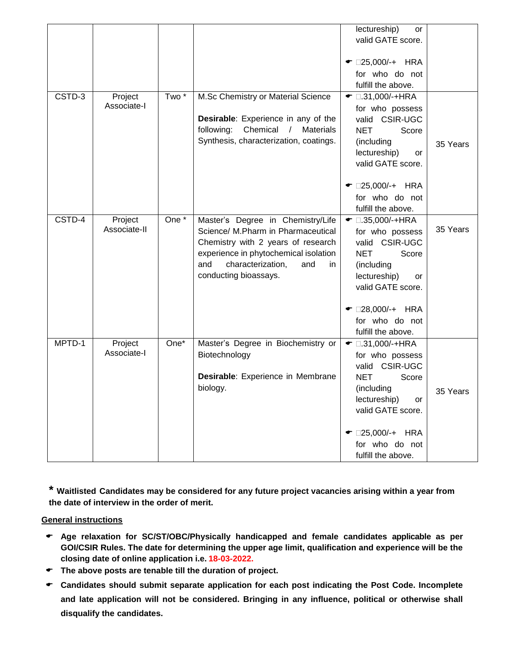|        |                         |                  |                                                                                                                                                                                                                          | lectureship)<br>or<br>valid GATE score.                                                                                                                                   |          |
|--------|-------------------------|------------------|--------------------------------------------------------------------------------------------------------------------------------------------------------------------------------------------------------------------------|---------------------------------------------------------------------------------------------------------------------------------------------------------------------------|----------|
|        |                         |                  |                                                                                                                                                                                                                          | $\bullet$ 025,000/-+ HRA<br>for who do not<br>fulfill the above.                                                                                                          |          |
| CSTD-3 | Project<br>Associate-I  | Two <sup>*</sup> | M.Sc Chemistry or Material Science<br>Desirable: Experience in any of the<br>following:<br>Chemical / Materials<br>Synthesis, characterization, coatings.                                                                | $\bullet$ 0.31,000/-+HRA<br>for who possess<br>valid CSIR-UGC<br><b>NET</b><br>Score<br>(including<br>lectureship)<br>or<br>valid GATE score.                             | 35 Years |
|        |                         |                  |                                                                                                                                                                                                                          | $\bullet$ 025,000/-+ HRA<br>for who do not<br>fulfill the above.                                                                                                          |          |
| CSTD-4 | Project<br>Associate-II | One *            | Master's Degree in Chemistry/Life<br>Science/ M.Pharm in Pharmaceutical<br>Chemistry with 2 years of research<br>experience in phytochemical isolation<br>characterization,<br>and<br>and<br>in<br>conducting bioassays. | $\bullet$ 0.35,000/-+HRA<br>for who possess<br>valid CSIR-UGC<br><b>NET</b><br>Score<br>(including<br>lectureship)<br>or<br>valid GATE score.                             | 35 Years |
|        |                         |                  |                                                                                                                                                                                                                          | $\bullet$ 028,000/-+ HRA<br>for who do not<br>fulfill the above.                                                                                                          |          |
| MPTD-1 | Project<br>Associate-I  | One*             | Master's Degree in Biochemistry or<br>Biotechnology<br>Desirable: Experience in Membrane<br>biology.                                                                                                                     | $\bullet$ 0.31,000/-+HRA<br>for who possess<br>valid CSIR-UGC<br><b>NET</b><br>Score<br>(including<br>lectureship)<br>or<br>valid GATE score.<br>$\bullet$ 025,000/-+ HRA | 35 Years |
|        |                         |                  |                                                                                                                                                                                                                          | for who do not<br>fulfill the above.                                                                                                                                      |          |

**\* Waitlisted Candidates may be considered for any future project vacancies arising within a year from the date of interview in the order of merit.** 

#### **General instructions**

- **Age relaxation for SC/ST/OBC/Physically handicapped and female candidates applicable as per GOI/CSIR Rules. The date for determining the upper age limit, qualification and experience will be the closing date of online application i.e. 18-03-2022.**
- **The above posts are tenable till the duration of project.**
- **Candidates should submit separate application for each post indicating the Post Code. Incomplete and late application will not be considered. Bringing in any influence, political or otherwise shall disqualify the candidates.**